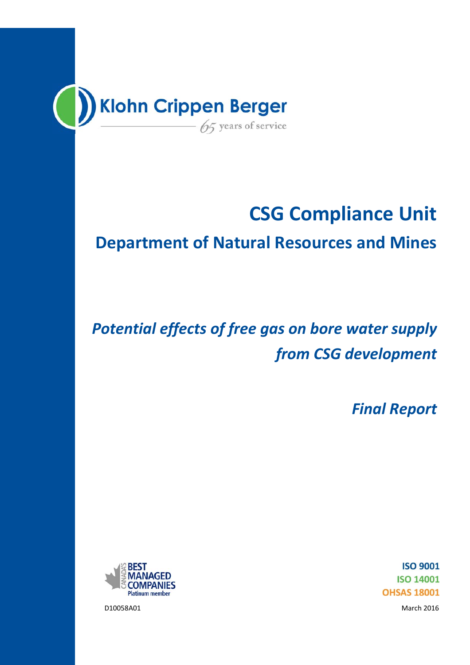

# **CSG Compliance Unit**

## **Department of Natural Resources and Mines**

# *Potential effects of free gas on bore water supply from CSG development*

*Final Report*



**ISO 9001 ISO 14001 OHSAS 18001** 

D10058A01 March 2016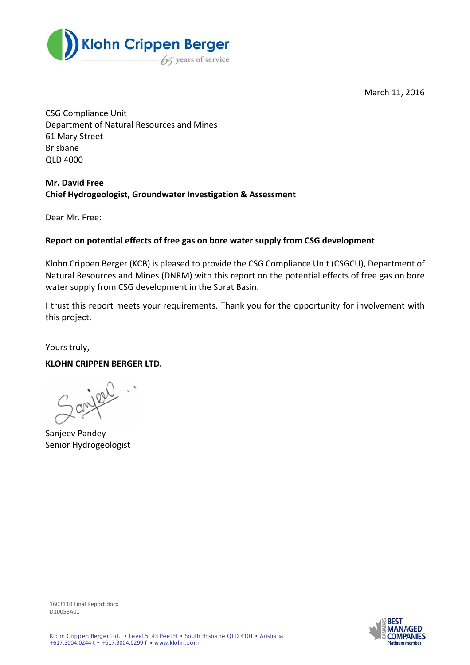

March 11, 2016

CSG Compliance Unit Department of Natural Resources and Mines 61 Mary Street Brisbane QLD 4000

#### **Mr. David Free Chief Hydrogeologist, Groundwater Investigation & Assessment**

Dear Mr. Free:

#### **Report on potential effects of free gas on bore water supply from CSG development**

Klohn Crippen Berger (KCB) is pleased to provide the CSG Compliance Unit (CSGCU), Department of Natural Resources and Mines (DNRM) with this report on the potential effects of free gas on bore water supply from CSG development in the Surat Basin.

I trust this report meets your requirements. Thank you for the opportunity for involvement with this project.

Yours truly,

#### **KLOHN CRIPPEN BERGER LTD.**

2 anileer

Sanjeev Pandey Senior Hydrogeologist



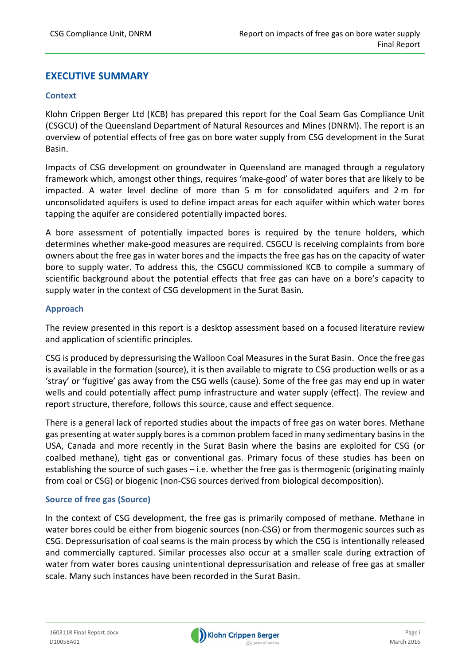#### **EXECUTIVE SUMMARY**

#### **Context**

Klohn Crippen Berger Ltd (KCB) has prepared this report for the Coal Seam Gas Compliance Unit (CSGCU) of the Queensland Department of Natural Resources and Mines (DNRM). The report is an overview of potential effects of free gas on bore water supply from CSG development in the Surat Basin.

Impacts of CSG development on groundwater in Queensland are managed through a regulatory framework which, amongst other things, requires 'make‐good' of water bores that are likely to be impacted. A water level decline of more than 5 m for consolidated aquifers and 2 m for unconsolidated aquifers is used to define impact areas for each aquifer within which water bores tapping the aquifer are considered potentially impacted bores.

A bore assessment of potentially impacted bores is required by the tenure holders, which determines whether make‐good measures are required. CSGCU is receiving complaints from bore owners about the free gas in water bores and the impacts the free gas has on the capacity of water bore to supply water. To address this, the CSGCU commissioned KCB to compile a summary of scientific background about the potential effects that free gas can have on a bore's capacity to supply water in the context of CSG development in the Surat Basin.

#### **Approach**

The review presented in this report is a desktop assessment based on a focused literature review and application of scientific principles.

CSG is produced by depressurising the Walloon Coal Measuresin the Surat Basin. Once the free gas is available in the formation (source), it is then available to migrate to CSG production wells or as a 'stray' or 'fugitive' gas away from the CSG wells (cause). Some of the free gas may end up in water wells and could potentially affect pump infrastructure and water supply (effect). The review and report structure, therefore, follows this source, cause and effect sequence.

There is a general lack of reported studies about the impacts of free gas on water bores. Methane gas presenting at water supply bores is a common problem faced in many sedimentary basins in the USA, Canada and more recently in the Surat Basin where the basins are exploited for CSG (or coalbed methane), tight gas or conventional gas. Primary focus of these studies has been on establishing the source of such gases – i.e. whether the free gas is thermogenic (originating mainly from coal or CSG) or biogenic (non‐CSG sources derived from biological decomposition).

#### **Source of free gas (Source)**

In the context of CSG development, the free gas is primarily composed of methane. Methane in water bores could be either from biogenic sources (non-CSG) or from thermogenic sources such as CSG. Depressurisation of coal seams is the main process by which the CSG is intentionally released and commercially captured. Similar processes also occur at a smaller scale during extraction of water from water bores causing unintentional depressurisation and release of free gas at smaller scale. Many such instances have been recorded in the Surat Basin.

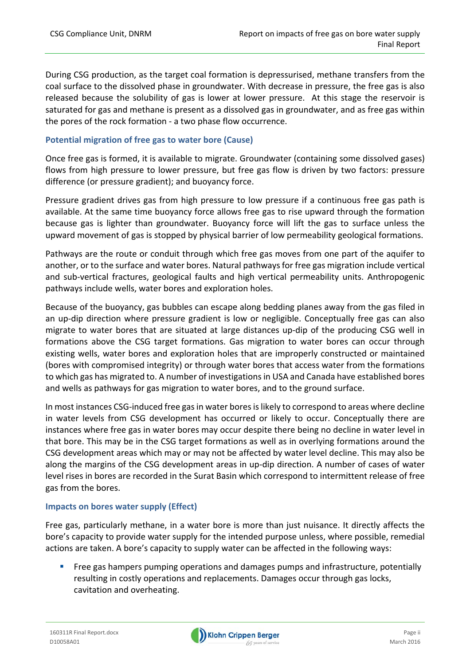During CSG production, as the target coal formation is depressurised, methane transfers from the coal surface to the dissolved phase in groundwater. With decrease in pressure, the free gas is also released because the solubility of gas is lower at lower pressure. At this stage the reservoir is saturated for gas and methane is present as a dissolved gas in groundwater, and as free gas within the pores of the rock formation ‐ a two phase flow occurrence.

#### **Potential migration of free gas to water bore (Cause)**

Once free gas is formed, it is available to migrate. Groundwater (containing some dissolved gases) flows from high pressure to lower pressure, but free gas flow is driven by two factors: pressure difference (or pressure gradient); and buoyancy force.

Pressure gradient drives gas from high pressure to low pressure if a continuous free gas path is available. At the same time buoyancy force allows free gas to rise upward through the formation because gas is lighter than groundwater. Buoyancy force will lift the gas to surface unless the upward movement of gas is stopped by physical barrier of low permeability geological formations.

Pathways are the route or conduit through which free gas moves from one part of the aquifer to another, or to the surface and water bores. Natural pathwaysfor free gas migration include vertical and sub‐vertical fractures, geological faults and high vertical permeability units. Anthropogenic pathways include wells, water bores and exploration holes.

Because of the buoyancy, gas bubbles can escape along bedding planes away from the gas filed in an up‐dip direction where pressure gradient is low or negligible. Conceptually free gas can also migrate to water bores that are situated at large distances up‐dip of the producing CSG well in formations above the CSG target formations. Gas migration to water bores can occur through existing wells, water bores and exploration holes that are improperly constructed or maintained (bores with compromised integrity) or through water bores that access water from the formations to which gas has migrated to. A number of investigations in USA and Canada have established bores and wells as pathways for gas migration to water bores, and to the ground surface.

In most instances CSG-induced free gas in water bores is likely to correspond to areas where decline in water levels from CSG development has occurred or likely to occur. Conceptually there are instances where free gas in water bores may occur despite there being no decline in water level in that bore. This may be in the CSG target formations as well as in overlying formations around the CSG development areas which may or may not be affected by water level decline. This may also be along the margins of the CSG development areas in up‐dip direction. A number of cases of water level rises in bores are recorded in the Surat Basin which correspond to intermittent release of free gas from the bores.

#### **Impacts on bores water supply (Effect)**

Free gas, particularly methane, in a water bore is more than just nuisance. It directly affects the bore's capacity to provide water supply for the intended purpose unless, where possible, remedial actions are taken. A bore's capacity to supply water can be affected in the following ways:

 Free gas hampers pumping operations and damages pumps and infrastructure, potentially resulting in costly operations and replacements. Damages occur through gas locks, cavitation and overheating.

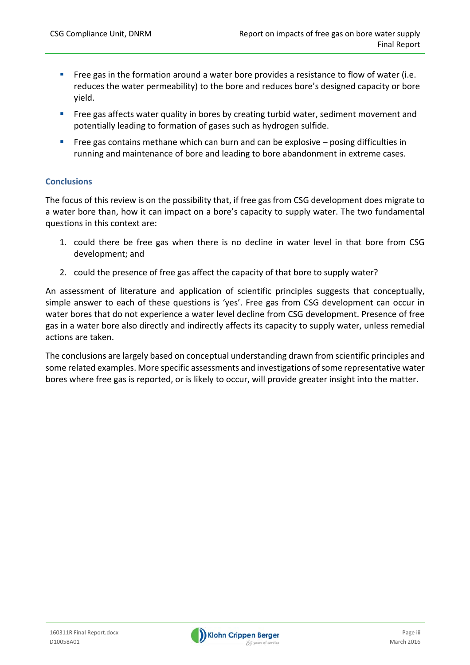- Free gas in the formation around a water bore provides a resistance to flow of water (i.e. reduces the water permeability) to the bore and reduces bore's designed capacity or bore yield.
- **Free gas affects water quality in bores by creating turbid water, sediment movement and** potentially leading to formation of gases such as hydrogen sulfide.
- Free gas contains methane which can burn and can be explosive posing difficulties in running and maintenance of bore and leading to bore abandonment in extreme cases.

#### **Conclusions**

The focus of this review is on the possibility that, if free gas from CSG development does migrate to a water bore than, how it can impact on a bore's capacity to supply water. The two fundamental questions in this context are:

- 1. could there be free gas when there is no decline in water level in that bore from CSG development; and
- 2. could the presence of free gas affect the capacity of that bore to supply water?

An assessment of literature and application of scientific principles suggests that conceptually, simple answer to each of these questions is 'yes'. Free gas from CSG development can occur in water bores that do not experience a water level decline from CSG development. Presence of free gas in a water bore also directly and indirectly affects its capacity to supply water, unless remedial actions are taken.

The conclusions are largely based on conceptual understanding drawn from scientific principles and some related examples. More specific assessments and investigations of some representative water bores where free gas is reported, or is likely to occur, will provide greater insight into the matter.

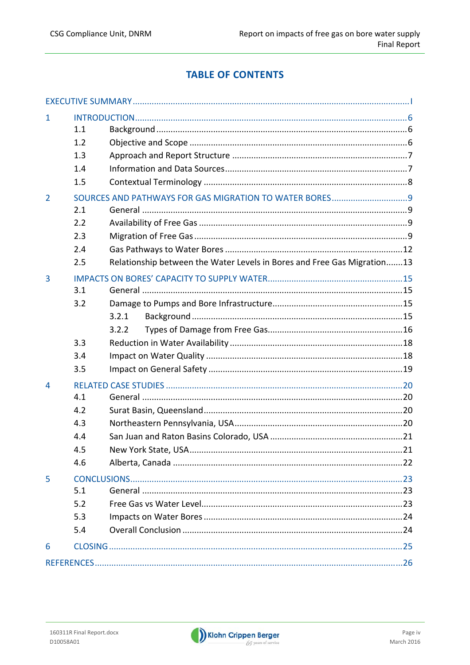## **TABLE OF CONTENTS**

| 1              |     |                                                                         |    |
|----------------|-----|-------------------------------------------------------------------------|----|
|                | 1.1 |                                                                         |    |
|                | 1.2 |                                                                         |    |
|                | 1.3 |                                                                         |    |
|                | 1.4 |                                                                         |    |
|                | 1.5 |                                                                         |    |
| $\overline{2}$ |     |                                                                         |    |
|                | 2.1 |                                                                         |    |
|                | 2.2 |                                                                         |    |
|                | 2.3 |                                                                         |    |
|                | 2.4 |                                                                         |    |
|                | 2.5 | Relationship between the Water Levels in Bores and Free Gas Migration13 |    |
| 3              |     |                                                                         |    |
|                | 3.1 |                                                                         |    |
|                | 3.2 |                                                                         |    |
|                |     | 3.2.1                                                                   |    |
|                |     | 3.2.2                                                                   |    |
|                | 3.3 |                                                                         |    |
|                | 3.4 |                                                                         |    |
|                | 3.5 |                                                                         |    |
| 4              |     |                                                                         |    |
|                | 4.1 |                                                                         |    |
|                | 4.2 |                                                                         |    |
|                | 4.3 |                                                                         |    |
|                | 4.4 |                                                                         |    |
|                | 4.5 | New York State, USA                                                     | 21 |
|                | 4.6 |                                                                         |    |
| 5              |     |                                                                         |    |
|                | 5.1 |                                                                         |    |
|                | 5.2 |                                                                         |    |
|                | 5.3 |                                                                         |    |
|                | 5.4 |                                                                         |    |
| 6              |     |                                                                         |    |
|                |     |                                                                         |    |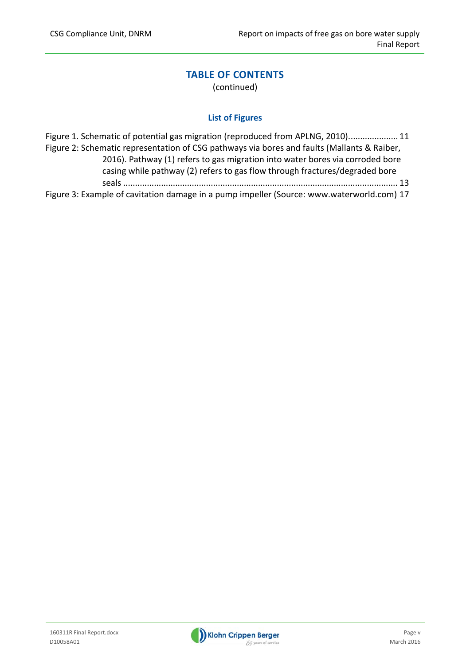## **TABLE OF CONTENTS**

(continued)

#### **List of Figures**

| Figure 1. Schematic of potential gas migration (reproduced from APLNG, 2010) 11                                                                              |  |  |
|--------------------------------------------------------------------------------------------------------------------------------------------------------------|--|--|
| Figure 2: Schematic representation of CSG pathways via bores and faults (Mallants & Raiber,                                                                  |  |  |
| 2016). Pathway (1) refers to gas migration into water bores via corroded bore<br>casing while pathway (2) refers to gas flow through fractures/degraded bore |  |  |
|                                                                                                                                                              |  |  |
| Figure 3: Example of cavitation damage in a pump impeller (Source: www.waterworld.com) 17                                                                    |  |  |

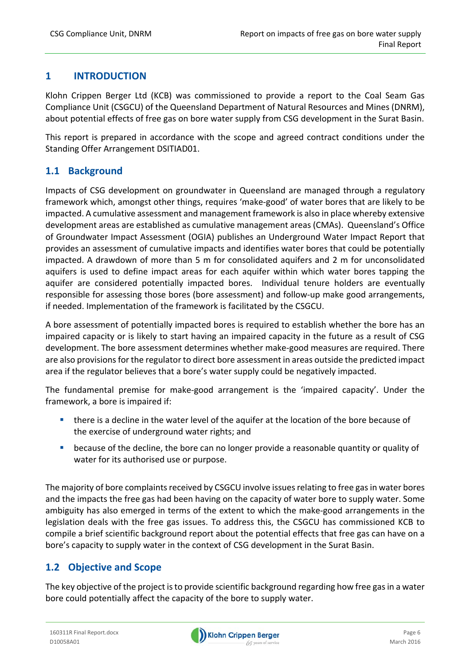#### **1 INTRODUCTION**

Klohn Crippen Berger Ltd (KCB) was commissioned to provide a report to the Coal Seam Gas Compliance Unit (CSGCU) of the Queensland Department of Natural Resources and Mines (DNRM), about potential effects of free gas on bore water supply from CSG development in the Surat Basin.

This report is prepared in accordance with the scope and agreed contract conditions under the Standing Offer Arrangement DSITIAD01.

## **1.1 Background**

Impacts of CSG development on groundwater in Queensland are managed through a regulatory framework which, amongst other things, requires 'make‐good' of water bores that are likely to be impacted. A cumulative assessment and management framework is also in place whereby extensive development areas are established as cumulative management areas (CMAs). Queensland's Office of Groundwater Impact Assessment (OGIA) publishes an Underground Water Impact Report that provides an assessment of cumulative impacts and identifies water bores that could be potentially impacted. A drawdown of more than 5 m for consolidated aquifers and 2 m for unconsolidated aquifers is used to define impact areas for each aquifer within which water bores tapping the aquifer are considered potentially impacted bores. Individual tenure holders are eventually responsible for assessing those bores (bore assessment) and follow‐up make good arrangements, if needed. Implementation of the framework is facilitated by the CSGCU.

A bore assessment of potentially impacted bores is required to establish whether the bore has an impaired capacity or is likely to start having an impaired capacity in the future as a result of CSG development. The bore assessment determines whether make‐good measures are required. There are also provisions for the regulator to direct bore assessment in areas outside the predicted impact area if the regulator believes that a bore's water supply could be negatively impacted.

The fundamental premise for make-good arrangement is the 'impaired capacity'. Under the framework, a bore is impaired if:

- there is a decline in the water level of the aquifer at the location of the bore because of the exercise of underground water rights; and
- because of the decline, the bore can no longer provide a reasonable quantity or quality of water for its authorised use or purpose.

The majority of bore complaints received by CSGCU involve issues relating to free gas in water bores and the impacts the free gas had been having on the capacity of water bore to supply water. Some ambiguity has also emerged in terms of the extent to which the make‐good arrangements in the legislation deals with the free gas issues. To address this, the CSGCU has commissioned KCB to compile a brief scientific background report about the potential effects that free gas can have on a bore's capacity to supply water in the context of CSG development in the Surat Basin.

## **1.2 Objective and Scope**

The key objective of the project is to provide scientific background regarding how free gas in a water bore could potentially affect the capacity of the bore to supply water.

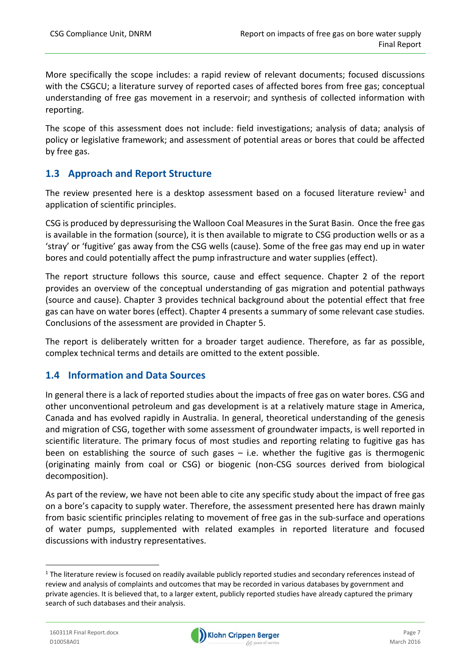More specifically the scope includes: a rapid review of relevant documents; focused discussions with the CSGCU; a literature survey of reported cases of affected bores from free gas; conceptual understanding of free gas movement in a reservoir; and synthesis of collected information with reporting.

The scope of this assessment does not include: field investigations; analysis of data; analysis of policy or legislative framework; and assessment of potential areas or bores that could be affected by free gas.

## **1.3 Approach and Report Structure**

The review presented here is a desktop assessment based on a focused literature review<sup>1</sup> and application of scientific principles.

CSG is produced by depressurising the Walloon Coal Measuresin the Surat Basin. Once the free gas is available in the formation (source), it is then available to migrate to CSG production wells or as a 'stray' or 'fugitive' gas away from the CSG wells (cause). Some of the free gas may end up in water bores and could potentially affect the pump infrastructure and water supplies (effect).

The report structure follows this source, cause and effect sequence. Chapter 2 of the report provides an overview of the conceptual understanding of gas migration and potential pathways (source and cause). Chapter 3 provides technical background about the potential effect that free gas can have on water bores (effect). Chapter 4 presents a summary of some relevant case studies. Conclusions of the assessment are provided in Chapter 5.

The report is deliberately written for a broader target audience. Therefore, as far as possible, complex technical terms and details are omitted to the extent possible.

## **1.4 Information and Data Sources**

In general there is a lack of reported studies about the impacts of free gas on water bores. CSG and other unconventional petroleum and gas development is at a relatively mature stage in America, Canada and has evolved rapidly in Australia. In general, theoretical understanding of the genesis and migration of CSG, together with some assessment of groundwater impacts, is well reported in scientific literature. The primary focus of most studies and reporting relating to fugitive gas has been on establishing the source of such gases – i.e. whether the fugitive gas is thermogenic (originating mainly from coal or CSG) or biogenic (non‐CSG sources derived from biological decomposition).

As part of the review, we have not been able to cite any specific study about the impact of free gas on a bore's capacity to supply water. Therefore, the assessment presented here has drawn mainly from basic scientific principles relating to movement of free gas in the sub-surface and operations of water pumps, supplemented with related examples in reported literature and focused discussions with industry representatives.



 $1$  The literature review is focused on readily available publicly reported studies and secondary references instead of review and analysis of complaints and outcomes that may be recorded in various databases by government and private agencies. It is believed that, to a larger extent, publicly reported studies have already captured the primary search of such databases and their analysis.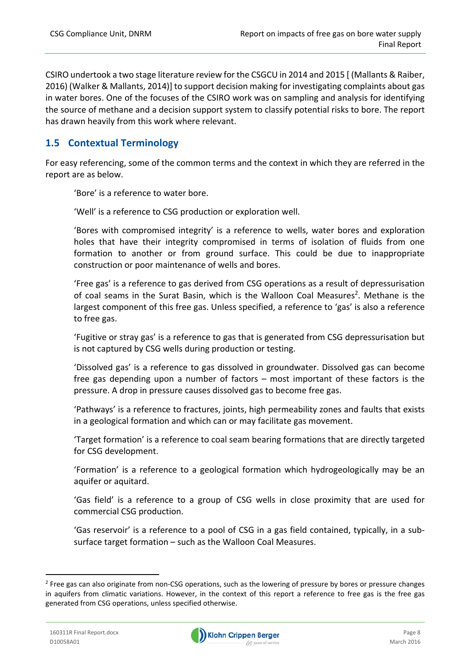CSIRO undertook a two stage literature review for the CSGCU in 2014 and 2015 [ (Mallants & Raiber, 2016) (Walker & Mallants, 2014)] to support decision making for investigating complaints about gas in water bores. One of the focuses of the CSIRO work was on sampling and analysis for identifying the source of methane and a decision support system to classify potential risks to bore. The report has drawn heavily from this work where relevant.

## **1.5 Contextual Terminology**

For easy referencing, some of the common terms and the context in which they are referred in the report are as below.

'Bore' is a reference to water bore.

'Well' is a reference to CSG production or exploration well.

'Bores with compromised integrity' is a reference to wells, water bores and exploration holes that have their integrity compromised in terms of isolation of fluids from one formation to another or from ground surface. This could be due to inappropriate construction or poor maintenance of wells and bores.

'Free gas' is a reference to gas derived from CSG operations as a result of depressurisation of coal seams in the Surat Basin, which is the Walloon Coal Measures<sup>2</sup>. Methane is the largest component of this free gas. Unless specified, a reference to 'gas' is also a reference to free gas.

'Fugitive or stray gas' is a reference to gas that is generated from CSG depressurisation but is not captured by CSG wells during production or testing.

'Dissolved gas' is a reference to gas dissolved in groundwater. Dissolved gas can become free gas depending upon a number of factors – most important of these factors is the pressure. A drop in pressure causes dissolved gas to become free gas.

'Pathways' is a reference to fractures, joints, high permeability zones and faults that exists in a geological formation and which can or may facilitate gas movement.

'Target formation' is a reference to coal seam bearing formations that are directly targeted for CSG development.

'Formation' is a reference to a geological formation which hydrogeologically may be an aquifer or aquitard.

'Gas field' is a reference to a group of CSG wells in close proximity that are used for commercial CSG production.

'Gas reservoir' is a reference to a pool of CSG in a gas field contained, typically, in a sub‐ surface target formation – such as the Walloon Coal Measures.



<sup>&</sup>lt;sup>2</sup> Free gas can also originate from non-CSG operations, such as the lowering of pressure by bores or pressure changes in aquifers from climatic variations. However, in the context of this report a reference to free gas is the free gas generated from CSG operations, unless specified otherwise.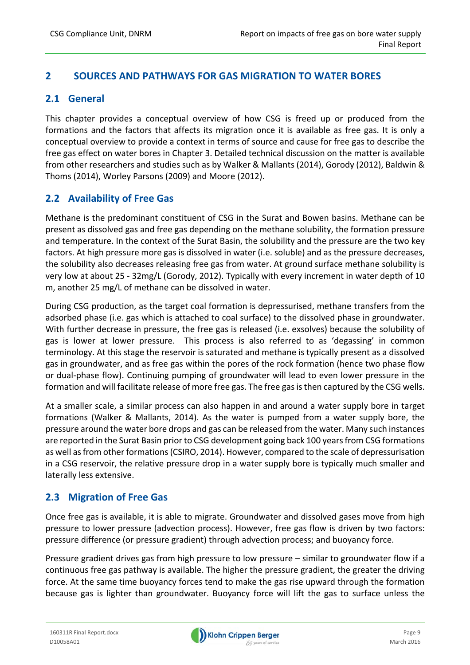## **2 SOURCES AND PATHWAYS FOR GAS MIGRATION TO WATER BORES**

## **2.1 General**

This chapter provides a conceptual overview of how CSG is freed up or produced from the formations and the factors that affects its migration once it is available as free gas. It is only a conceptual overview to provide a context in terms of source and cause for free gas to describe the free gas effect on water bores in Chapter 3. Detailed technical discussion on the matter is available from other researchers and studies such as by Walker & Mallants (2014), Gorody (2012), Baldwin & Thoms (2014), Worley Parsons (2009) and Moore (2012).

## **2.2 Availability of Free Gas**

Methane is the predominant constituent of CSG in the Surat and Bowen basins. Methane can be present as dissolved gas and free gas depending on the methane solubility, the formation pressure and temperature. In the context of the Surat Basin, the solubility and the pressure are the two key factors. At high pressure more gas is dissolved in water (i.e. soluble) and as the pressure decreases, the solubility also decreases releasing free gas from water. At ground surface methane solubility is very low at about 25 ‐ 32mg/L (Gorody, 2012). Typically with every increment in water depth of 10 m, another 25 mg/L of methane can be dissolved in water.

During CSG production, as the target coal formation is depressurised, methane transfers from the adsorbed phase (i.e. gas which is attached to coal surface) to the dissolved phase in groundwater. With further decrease in pressure, the free gas is released (i.e. exsolves) because the solubility of gas is lower at lower pressure. This process is also referred to as 'degassing' in common terminology. At this stage the reservoir is saturated and methane is typically present as a dissolved gas in groundwater, and as free gas within the pores of the rock formation (hence two phase flow or dual‐phase flow). Continuing pumping of groundwater will lead to even lower pressure in the formation and will facilitate release of more free gas. The free gas is then captured by the CSG wells.

At a smaller scale, a similar process can also happen in and around a water supply bore in target formations (Walker & Mallants, 2014). As the water is pumped from a water supply bore, the pressure around the water bore drops and gas can be released from the water. Many such instances are reported in the Surat Basin prior to CSG development going back 100 years from CSG formations as well asfrom other formations(CSIRO, 2014). However, compared to the scale of depressurisation in a CSG reservoir, the relative pressure drop in a water supply bore is typically much smaller and laterally less extensive.

## **2.3 Migration of Free Gas**

Once free gas is available, it is able to migrate. Groundwater and dissolved gases move from high pressure to lower pressure (advection process). However, free gas flow is driven by two factors: pressure difference (or pressure gradient) through advection process; and buoyancy force.

Pressure gradient drives gas from high pressure to low pressure – similar to groundwater flow if a continuous free gas pathway is available. The higher the pressure gradient, the greater the driving force. At the same time buoyancy forces tend to make the gas rise upward through the formation because gas is lighter than groundwater. Buoyancy force will lift the gas to surface unless the

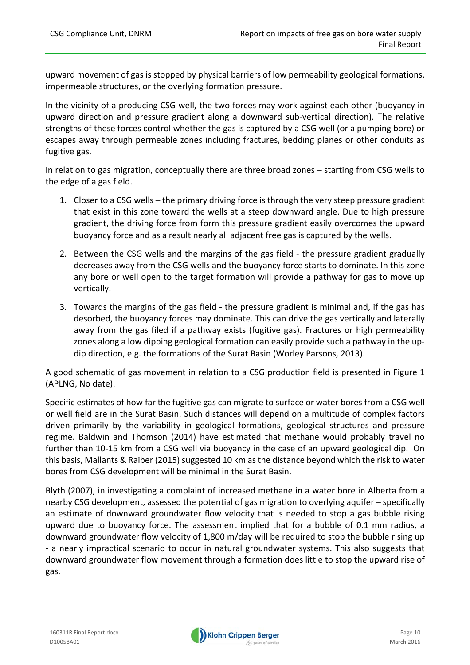upward movement of gas is stopped by physical barriers of low permeability geological formations, impermeable structures, or the overlying formation pressure.

In the vicinity of a producing CSG well, the two forces may work against each other (buoyancy in upward direction and pressure gradient along a downward sub‐vertical direction). The relative strengths of these forces control whether the gas is captured by a CSG well (or a pumping bore) or escapes away through permeable zones including fractures, bedding planes or other conduits as fugitive gas.

In relation to gas migration, conceptually there are three broad zones – starting from CSG wells to the edge of a gas field.

- 1. Closer to a CSG wells the primary driving force is through the very steep pressure gradient that exist in this zone toward the wells at a steep downward angle. Due to high pressure gradient, the driving force from form this pressure gradient easily overcomes the upward buoyancy force and as a result nearly all adjacent free gas is captured by the wells.
- 2. Between the CSG wells and the margins of the gas field the pressure gradient gradually decreases away from the CSG wells and the buoyancy force starts to dominate. In this zone any bore or well open to the target formation will provide a pathway for gas to move up vertically.
- 3. Towards the margins of the gas field ‐ the pressure gradient is minimal and, if the gas has desorbed, the buoyancy forces may dominate. This can drive the gas vertically and laterally away from the gas filed if a pathway exists (fugitive gas). Fractures or high permeability zones along a low dipping geological formation can easily provide such a pathway in the up‐ dip direction, e.g. the formations of the Surat Basin (Worley Parsons, 2013).

A good schematic of gas movement in relation to a CSG production field is presented in Figure 1 (APLNG, No date).

Specific estimates of how far the fugitive gas can migrate to surface or water bores from a CSG well or well field are in the Surat Basin. Such distances will depend on a multitude of complex factors driven primarily by the variability in geological formations, geological structures and pressure regime. Baldwin and Thomson (2014) have estimated that methane would probably travel no further than 10‐15 km from a CSG well via buoyancy in the case of an upward geological dip. On this basis, Mallants & Raiber (2015) suggested 10 km asthe distance beyond which the risk to water bores from CSG development will be minimal in the Surat Basin.

Blyth (2007), in investigating a complaint of increased methane in a water bore in Alberta from a nearby CSG development, assessed the potential of gas migration to overlying aquifer – specifically an estimate of downward groundwater flow velocity that is needed to stop a gas bubble rising upward due to buoyancy force. The assessment implied that for a bubble of 0.1 mm radius, a downward groundwater flow velocity of 1,800 m/day will be required to stop the bubble rising up ‐ a nearly impractical scenario to occur in natural groundwater systems. This also suggests that downward groundwater flow movement through a formation does little to stop the upward rise of gas.

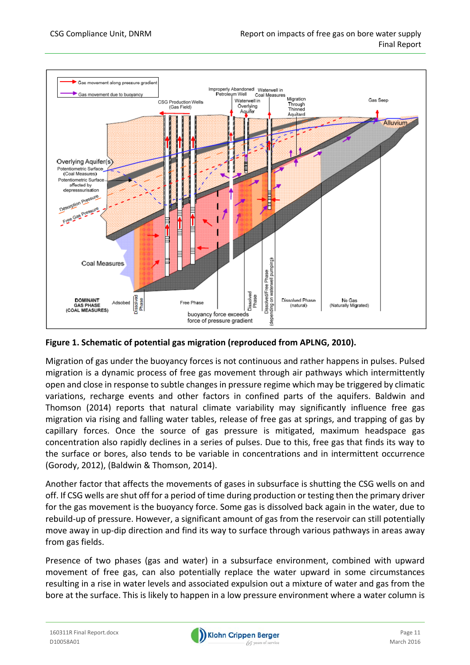

#### **Figure 1. Schematic of potential gas migration (reproduced from APLNG, 2010).**

Migration of gas under the buoyancy forces is not continuous and rather happens in pulses. Pulsed migration is a dynamic process of free gas movement through air pathways which intermittently open and close in response to subtle changes in pressure regime which may be triggered by climatic variations, recharge events and other factors in confined parts of the aquifers. Baldwin and Thomson (2014) reports that natural climate variability may significantly influence free gas migration via rising and falling water tables, release of free gas at springs, and trapping of gas by capillary forces. Once the source of gas pressure is mitigated, maximum headspace gas concentration also rapidly declines in a series of pulses. Due to this, free gas that finds its way to the surface or bores, also tends to be variable in concentrations and in intermittent occurrence (Gorody, 2012), (Baldwin & Thomson, 2014).

Another factor that affects the movements of gases in subsurface is shutting the CSG wells on and off. If CSG wells are shut off for a period of time during production or testing then the primary driver for the gas movement is the buoyancy force. Some gas is dissolved back again in the water, due to rebuild‐up of pressure. However, a significant amount of gas from the reservoir can still potentially move away in up‐dip direction and find its way to surface through various pathways in areas away from gas fields.

Presence of two phases (gas and water) in a subsurface environment, combined with upward movement of free gas, can also potentially replace the water upward in some circumstances resulting in a rise in water levels and associated expulsion out a mixture of water and gas from the bore at the surface. This is likely to happen in a low pressure environment where a water column is

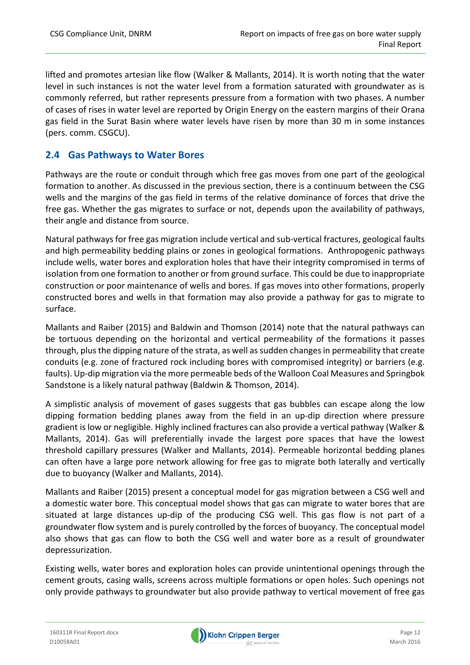lifted and promotes artesian like flow (Walker & Mallants, 2014). It is worth noting that the water level in such instances is not the water level from a formation saturated with groundwater as is commonly referred, but rather represents pressure from a formation with two phases. A number of cases of rises in water level are reported by Origin Energy on the eastern margins of their Orana gas field in the Surat Basin where water levels have risen by more than 30 m in some instances (pers. comm. CSGCU).

## **2.4 Gas Pathways to Water Bores**

Pathways are the route or conduit through which free gas moves from one part of the geological formation to another. As discussed in the previous section, there is a continuum between the CSG wells and the margins of the gas field in terms of the relative dominance of forces that drive the free gas. Whether the gas migrates to surface or not, depends upon the availability of pathways, their angle and distance from source.

Natural pathways for free gas migration include vertical and sub‐vertical fractures, geological faults and high permeability bedding plains or zones in geological formations. Anthropogenic pathways include wells, water bores and exploration holes that have their integrity compromised in terms of isolation from one formation to another or from ground surface. This could be due to inappropriate construction or poor maintenance of wells and bores. If gas moves into other formations, properly constructed bores and wells in that formation may also provide a pathway for gas to migrate to surface.

Mallants and Raiber (2015) and Baldwin and Thomson (2014) note that the natural pathways can be tortuous depending on the horizontal and vertical permeability of the formations it passes through, plus the dipping nature of the strata, as well as sudden changes in permeability that create conduits (e.g. zone of fractured rock including bores with compromised integrity) or barriers (e.g. faults). Up‐dip migration via the more permeable beds of the Walloon Coal Measures and Springbok Sandstone is a likely natural pathway (Baldwin & Thomson, 2014).

A simplistic analysis of movement of gases suggests that gas bubbles can escape along the low dipping formation bedding planes away from the field in an up‐dip direction where pressure gradient is low or negligible. Highly inclined fractures can also provide a vertical pathway (Walker & Mallants, 2014). Gas will preferentially invade the largest pore spaces that have the lowest threshold capillary pressures (Walker and Mallants, 2014). Permeable horizontal bedding planes can often have a large pore network allowing for free gas to migrate both laterally and vertically due to buoyancy (Walker and Mallants, 2014).

Mallants and Raiber (2015) present a conceptual model for gas migration between a CSG well and a domestic water bore. This conceptual model shows that gas can migrate to water bores that are situated at large distances up-dip of the producing CSG well. This gas flow is not part of a groundwater flow system and is purely controlled by the forces of buoyancy. The conceptual model also shows that gas can flow to both the CSG well and water bore as a result of groundwater depressurization.

Existing wells, water bores and exploration holes can provide unintentional openings through the cement grouts, casing walls, screens across multiple formations or open holes. Such openings not only provide pathways to groundwater but also provide pathway to vertical movement of free gas

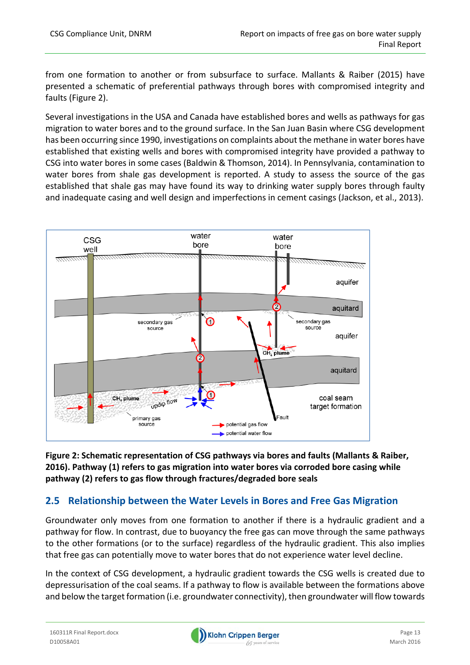from one formation to another or from subsurface to surface. Mallants & Raiber (2015) have presented a schematic of preferential pathways through bores with compromised integrity and faults (Figure 2).

Several investigations in the USA and Canada have established bores and wells as pathways for gas migration to water bores and to the ground surface. In the San Juan Basin where CSG development has been occurring since 1990, investigations on complaints about the methane in water bores have established that existing wells and bores with compromised integrity have provided a pathway to CSG into water bores in some cases (Baldwin & Thomson, 2014). In Pennsylvania, contamination to water bores from shale gas development is reported. A study to assess the source of the gas established that shale gas may have found its way to drinking water supply bores through faulty and inadequate casing and well design and imperfections in cement casings (Jackson, et al., 2013).



**Figure 2: Schematic representation of CSG pathways via bores and faults (Mallants & Raiber, 2016). Pathway (1) refers to gas migration into water bores via corroded bore casing while pathway (2) refers to gas flow through fractures/degraded bore seals** 

## **2.5 Relationship between the Water Levels in Bores and Free Gas Migration**

Groundwater only moves from one formation to another if there is a hydraulic gradient and a pathway for flow. In contrast, due to buoyancy the free gas can move through the same pathways to the other formations (or to the surface) regardless of the hydraulic gradient. This also implies that free gas can potentially move to water bores that do not experience water level decline.

In the context of CSG development, a hydraulic gradient towards the CSG wells is created due to depressurisation of the coal seams. If a pathway to flow is available between the formations above and below the target formation (i.e. groundwater connectivity), then groundwater will flow towards

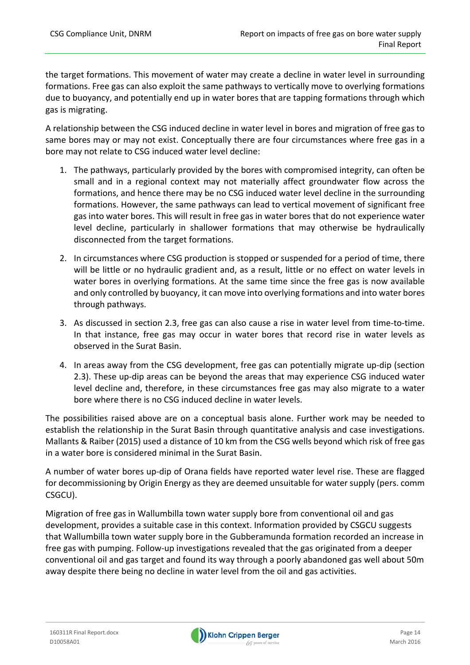the target formations. This movement of water may create a decline in water level in surrounding formations. Free gas can also exploit the same pathways to vertically move to overlying formations due to buoyancy, and potentially end up in water bores that are tapping formations through which gas is migrating.

A relationship between the CSG induced decline in water level in bores and migration of free gas to same bores may or may not exist. Conceptually there are four circumstances where free gas in a bore may not relate to CSG induced water level decline:

- 1. The pathways, particularly provided by the bores with compromised integrity, can often be small and in a regional context may not materially affect groundwater flow across the formations, and hence there may be no CSG induced water level decline in the surrounding formations. However, the same pathways can lead to vertical movement of significant free gas into water bores. This will result in free gas in water bores that do not experience water level decline, particularly in shallower formations that may otherwise be hydraulically disconnected from the target formations.
- 2. In circumstances where CSG production is stopped or suspended for a period of time, there will be little or no hydraulic gradient and, as a result, little or no effect on water levels in water bores in overlying formations. At the same time since the free gas is now available and only controlled by buoyancy, it can move into overlying formations and into water bores through pathways.
- 3. As discussed in section 2.3, free gas can also cause a rise in water level from time‐to‐time. In that instance, free gas may occur in water bores that record rise in water levels as observed in the Surat Basin.
- 4. In areas away from the CSG development, free gas can potentially migrate up‐dip (section 2.3). These up‐dip areas can be beyond the areas that may experience CSG induced water level decline and, therefore, in these circumstances free gas may also migrate to a water bore where there is no CSG induced decline in water levels.

The possibilities raised above are on a conceptual basis alone. Further work may be needed to establish the relationship in the Surat Basin through quantitative analysis and case investigations. Mallants & Raiber (2015) used a distance of 10 km from the CSG wells beyond which risk of free gas in a water bore is considered minimal in the Surat Basin.

A number of water bores up‐dip of Orana fields have reported water level rise. These are flagged for decommissioning by Origin Energy as they are deemed unsuitable for water supply (pers. comm CSGCU).

Migration of free gas in Wallumbilla town water supply bore from conventional oil and gas development, provides a suitable case in this context. Information provided by CSGCU suggests that Wallumbilla town water supply bore in the Gubberamunda formation recorded an increase in free gas with pumping. Follow‐up investigations revealed that the gas originated from a deeper conventional oil and gas target and found its way through a poorly abandoned gas well about 50m away despite there being no decline in water level from the oil and gas activities.

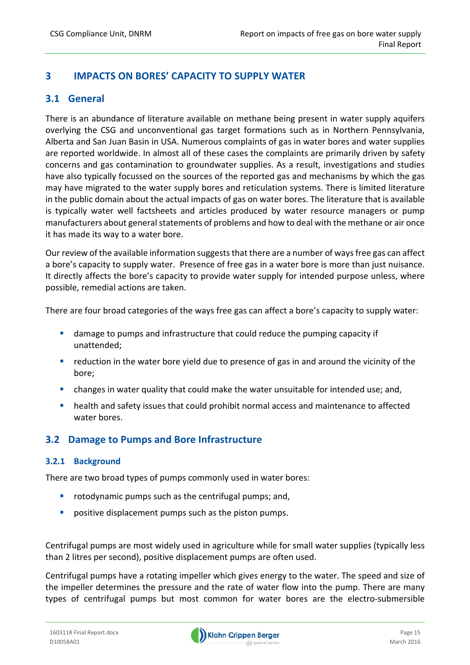## **3 IMPACTS ON BORES' CAPACITY TO SUPPLY WATER**

#### **3.1 General**

There is an abundance of literature available on methane being present in water supply aquifers overlying the CSG and unconventional gas target formations such as in Northern Pennsylvania, Alberta and San Juan Basin in USA. Numerous complaints of gas in water bores and water supplies are reported worldwide. In almost all of these cases the complaints are primarily driven by safety concerns and gas contamination to groundwater supplies. As a result, investigations and studies have also typically focussed on the sources of the reported gas and mechanisms by which the gas may have migrated to the water supply bores and reticulation systems. There is limited literature in the public domain about the actual impacts of gas on water bores. The literature that is available is typically water well factsheets and articles produced by water resource managers or pump manufacturers about general statements of problems and how to deal with the methane or air once it has made its way to a water bore.

Our review of the available information suggests that there are a number of ways free gas can affect a bore's capacity to supply water. Presence of free gas in a water bore is more than just nuisance. It directly affects the bore's capacity to provide water supply for intended purpose unless, where possible, remedial actions are taken.

There are four broad categories of the ways free gas can affect a bore's capacity to supply water:

- damage to pumps and infrastructure that could reduce the pumping capacity if unattended;
- **•** reduction in the water bore yield due to presence of gas in and around the vicinity of the bore;
- changes in water quality that could make the water unsuitable for intended use; and,
- health and safety issues that could prohibit normal access and maintenance to affected water bores.

## **3.2 Damage to Pumps and Bore Infrastructure**

#### **3.2.1 Background**

There are two broad types of pumps commonly used in water bores:

- **•** rotodynamic pumps such as the centrifugal pumps; and,
- **P** positive displacement pumps such as the piston pumps.

Centrifugal pumps are most widely used in agriculture while for small water supplies (typically less than 2 litres per second), positive displacement pumps are often used.

Centrifugal pumps have a rotating impeller which gives energy to the water. The speed and size of the impeller determines the pressure and the rate of water flow into the pump. There are many types of centrifugal pumps but most common for water bores are the electro-submersible

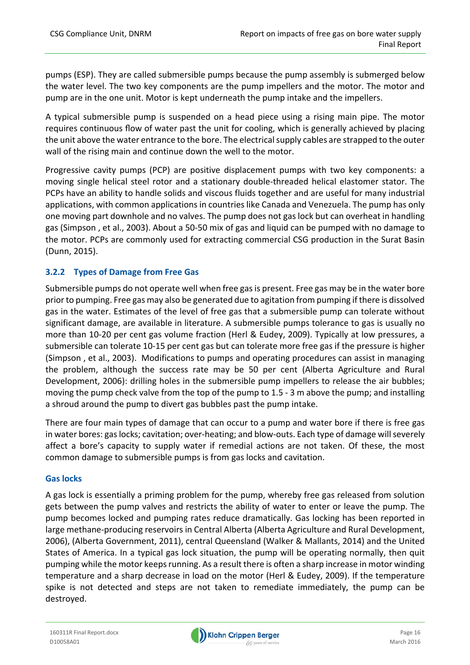pumps (ESP). They are called submersible pumps because the pump assembly is submerged below the water level. The two key components are the pump impellers and the motor. The motor and pump are in the one unit. Motor is kept underneath the pump intake and the impellers.

A typical submersible pump is suspended on a head piece using a rising main pipe. The motor requires continuous flow of water past the unit for cooling, which is generally achieved by placing the unit above the water entrance to the bore. The electrical supply cables are strapped to the outer wall of the rising main and continue down the well to the motor.

Progressive cavity pumps (PCP) are positive displacement pumps with two key components: a moving single helical steel rotor and a stationary double‐threaded helical elastomer stator. The PCPs have an ability to handle solids and viscous fluids together and are useful for many industrial applications, with common applications in countries like Canada and Venezuela. The pump has only one moving part downhole and no valves. The pump does not gas lock but can overheat in handling gas (Simpson , et al., 2003). About a 50‐50 mix of gas and liquid can be pumped with no damage to the motor. PCPs are commonly used for extracting commercial CSG production in the Surat Basin (Dunn, 2015).

#### **3.2.2 Types of Damage from Free Gas**

Submersible pumps do not operate well when free gas is present. Free gas may be in the water bore priorto pumping. Free gas may also be generated due to agitation from pumping if there is dissolved gas in the water. Estimates of the level of free gas that a submersible pump can tolerate without significant damage, are available in literature. A submersible pumps tolerance to gas is usually no more than 10‐20 per cent gas volume fraction (Herl & Eudey, 2009). Typically at low pressures, a submersible can tolerate 10‐15 per cent gas but can tolerate more free gas if the pressure is higher (Simpson , et al., 2003). Modifications to pumps and operating procedures can assist in managing the problem, although the success rate may be 50 per cent (Alberta Agriculture and Rural Development, 2006): drilling holes in the submersible pump impellers to release the air bubbles; moving the pump check valve from the top of the pump to 1.5 ‐ 3 m above the pump; and installing a shroud around the pump to divert gas bubbles past the pump intake.

There are four main types of damage that can occur to a pump and water bore if there is free gas in water bores: gas locks; cavitation; over-heating; and blow-outs. Each type of damage will severely affect a bore's capacity to supply water if remedial actions are not taken. Of these, the most common damage to submersible pumps is from gas locks and cavitation.

#### **Gas locks**

A gas lock is essentially a priming problem for the pump, whereby free gas released from solution gets between the pump valves and restricts the ability of water to enter or leave the pump. The pump becomes locked and pumping rates reduce dramatically. Gas locking has been reported in large methane‐producing reservoirs in Central Alberta (Alberta Agriculture and Rural Development, 2006), (Alberta Government, 2011), central Queensland (Walker & Mallants, 2014) and the United States of America. In a typical gas lock situation, the pump will be operating normally, then quit pumping while the motor keepsrunning. As a result there is often a sharp increase in motor winding temperature and a sharp decrease in load on the motor (Herl & Eudey, 2009). If the temperature spike is not detected and steps are not taken to remediate immediately, the pump can be destroyed.

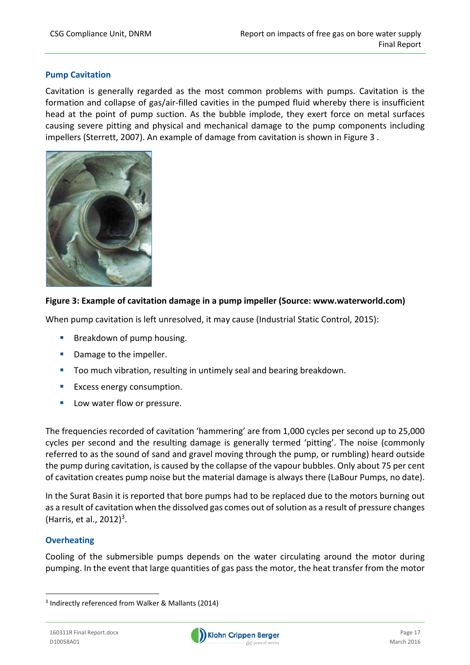#### **Pump Cavitation**

Cavitation is generally regarded as the most common problems with pumps. Cavitation is the formation and collapse of gas/air-filled cavities in the pumped fluid whereby there is insufficient head at the point of pump suction. As the bubble implode, they exert force on metal surfaces causing severe pitting and physical and mechanical damage to the pump components including impellers (Sterrett, 2007). An example of damage from cavitation is shown in Figure 3 .



#### **Figure 3: Example of cavitation damage in a pump impeller (Source: www.waterworld.com)**

When pump cavitation is left unresolved, it may cause (Industrial Static Control, 2015):

- **Breakdown of pump housing.**
- **Damage to the impeller.**
- Too much vibration, resulting in untimely seal and bearing breakdown.
- **Excess energy consumption.**
- **Low water flow or pressure.**

The frequencies recorded of cavitation 'hammering' are from 1,000 cycles per second up to 25,000 cycles per second and the resulting damage is generally termed 'pitting'. The noise (commonly referred to as the sound of sand and gravel moving through the pump, or rumbling) heard outside the pump during cavitation, is caused by the collapse of the vapour bubbles. Only about 75 per cent of cavitation creates pump noise but the material damage is always there (LaBour Pumps, no date).

In the Surat Basin it is reported that bore pumps had to be replaced due to the motors burning out as a result of cavitation when the dissolved gas comes out of solution as a result of pressure changes (Harris, et al.,  $2012$ )<sup>3</sup>.

#### **Overheating**

Cooling of the submersible pumps depends on the water circulating around the motor during pumping. In the event that large quantities of gas pass the motor, the heat transfer from the motor



<sup>3</sup> Indirectly referenced from Walker & Mallants (2014)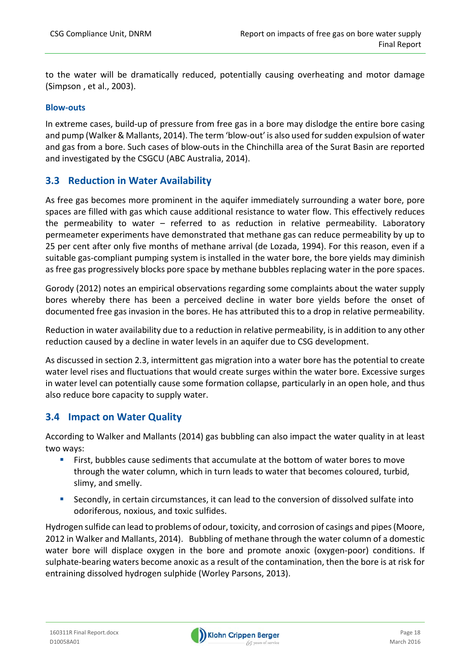to the water will be dramatically reduced, potentially causing overheating and motor damage (Simpson , et al., 2003).

#### **Blow‐outs**

In extreme cases, build‐up of pressure from free gas in a bore may dislodge the entire bore casing and pump (Walker& Mallants, 2014). The term 'blow‐out' is also used forsudden expulsion of water and gas from a bore. Such cases of blow‐outs in the Chinchilla area of the Surat Basin are reported and investigated by the CSGCU (ABC Australia, 2014).

#### **3.3 Reduction in Water Availability**

As free gas becomes more prominent in the aquifer immediately surrounding a water bore, pore spaces are filled with gas which cause additional resistance to water flow. This effectively reduces the permeability to water – referred to as reduction in relative permeability. Laboratory permeameter experiments have demonstrated that methane gas can reduce permeability by up to 25 per cent after only five months of methane arrival (de Lozada, 1994). For this reason, even if a suitable gas‐compliant pumping system is installed in the water bore, the bore yields may diminish as free gas progressively blocks pore space by methane bubbles replacing water in the pore spaces.

Gorody (2012) notes an empirical observations regarding some complaints about the water supply bores whereby there has been a perceived decline in water bore yields before the onset of documented free gas invasion in the bores. He has attributed this to a drop in relative permeability.

Reduction in water availability due to a reduction in relative permeability, isin addition to any other reduction caused by a decline in water levels in an aquifer due to CSG development.

As discussed in section 2.3, intermittent gas migration into a water bore has the potential to create water level rises and fluctuations that would create surges within the water bore. Excessive surges in water level can potentially cause some formation collapse, particularly in an open hole, and thus also reduce bore capacity to supply water.

#### **3.4 Impact on Water Quality**

According to Walker and Mallants (2014) gas bubbling can also impact the water quality in at least two ways:

- First, bubbles cause sediments that accumulate at the bottom of water bores to move through the water column, which in turn leads to water that becomes coloured, turbid, slimy, and smelly.
- Secondly, in certain circumstances, it can lead to the conversion of dissolved sulfate into odoriferous, noxious, and toxic sulfides.

Hydrogen sulfide can lead to problems of odour, toxicity, and corrosion of casings and pipes(Moore, 2012 in Walker and Mallants, 2014). Bubbling of methane through the water column of a domestic water bore will displace oxygen in the bore and promote anoxic (oxygen-poor) conditions. If sulphate-bearing waters become anoxic as a result of the contamination, then the bore is at risk for entraining dissolved hydrogen sulphide (Worley Parsons, 2013).

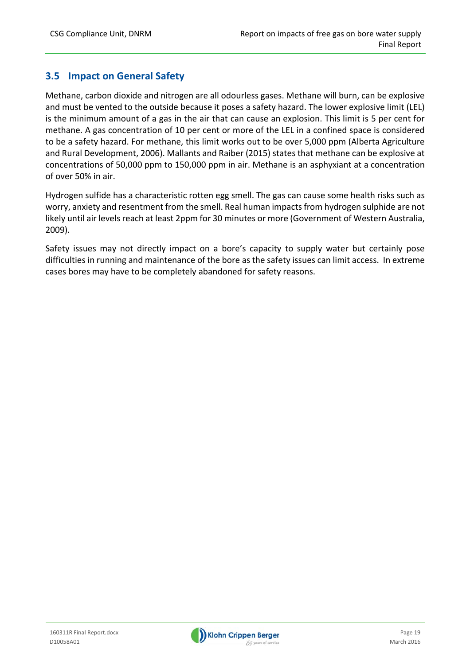## **3.5 Impact on General Safety**

Methane, carbon dioxide and nitrogen are all odourless gases. Methane will burn, can be explosive and must be vented to the outside because it poses a safety hazard. The lower explosive limit (LEL) is the minimum amount of a gas in the air that can cause an explosion. This limit is 5 per cent for methane. A gas concentration of 10 per cent or more of the LEL in a confined space is considered to be a safety hazard. For methane, this limit works out to be over 5,000 ppm (Alberta Agriculture and Rural Development, 2006). Mallants and Raiber (2015) states that methane can be explosive at concentrations of 50,000 ppm to 150,000 ppm in air. Methane is an asphyxiant at a concentration of over 50% in air.

Hydrogen sulfide has a characteristic rotten egg smell. The gas can cause some health risks such as worry, anxiety and resentment from the smell. Real human impacts from hydrogen sulphide are not likely until air levels reach at least 2ppm for 30 minutes or more (Government of Western Australia, 2009).

Safety issues may not directly impact on a bore's capacity to supply water but certainly pose difficulties in running and maintenance of the bore as the safety issues can limit access. In extreme cases bores may have to be completely abandoned for safety reasons.

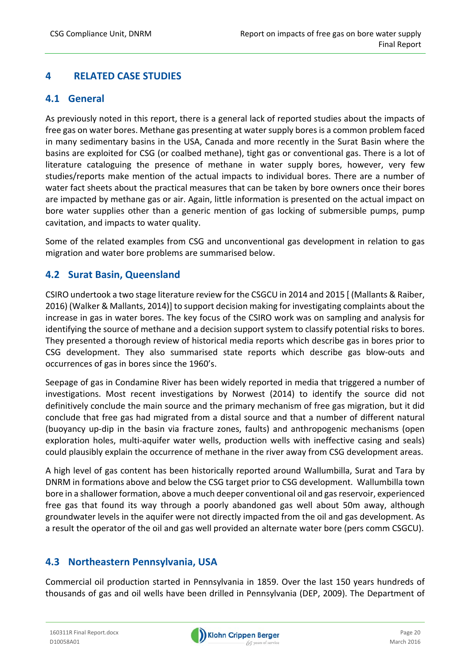## **4 RELATED CASE STUDIES**

## **4.1 General**

As previously noted in this report, there is a general lack of reported studies about the impacts of free gas on water bores. Methane gas presenting at watersupply boresis a common problem faced in many sedimentary basins in the USA, Canada and more recently in the Surat Basin where the basins are exploited for CSG (or coalbed methane), tight gas or conventional gas. There is a lot of literature cataloguing the presence of methane in water supply bores, however, very few studies/reports make mention of the actual impacts to individual bores. There are a number of water fact sheets about the practical measures that can be taken by bore owners once their bores are impacted by methane gas or air. Again, little information is presented on the actual impact on bore water supplies other than a generic mention of gas locking of submersible pumps, pump cavitation, and impacts to water quality.

Some of the related examples from CSG and unconventional gas development in relation to gas migration and water bore problems are summarised below.

## **4.2 Surat Basin, Queensland**

CSIRO undertook a two stage literature review for the CSGCU in 2014 and 2015 [ (Mallants & Raiber, 2016) (Walker & Mallants, 2014)] to support decision making for investigating complaints about the increase in gas in water bores. The key focus of the CSIRO work was on sampling and analysis for identifying the source of methane and a decision support system to classify potential risks to bores. They presented a thorough review of historical media reports which describe gas in bores prior to CSG development. They also summarised state reports which describe gas blow‐outs and occurrences of gas in bores since the 1960's.

Seepage of gas in Condamine River has been widely reported in media that triggered a number of investigations. Most recent investigations by Norwest (2014) to identify the source did not definitively conclude the main source and the primary mechanism of free gas migration, but it did conclude that free gas had migrated from a distal source and that a number of different natural (buoyancy up‐dip in the basin via fracture zones, faults) and anthropogenic mechanisms (open exploration holes, multi-aquifer water wells, production wells with ineffective casing and seals) could plausibly explain the occurrence of methane in the river away from CSG development areas.

A high level of gas content has been historically reported around Wallumbilla, Surat and Tara by DNRM in formations above and below the CSG target prior to CSG development. Wallumbilla town bore in a shallower formation, above a much deeper conventional oil and gasreservoir, experienced free gas that found its way through a poorly abandoned gas well about 50m away, although groundwater levels in the aquifer were not directly impacted from the oil and gas development. As a result the operator of the oil and gas well provided an alternate water bore (pers comm CSGCU).

## **4.3 Northeastern Pennsylvania, USA**

Commercial oil production started in Pennsylvania in 1859. Over the last 150 years hundreds of thousands of gas and oil wells have been drilled in Pennsylvania (DEP, 2009). The Department of

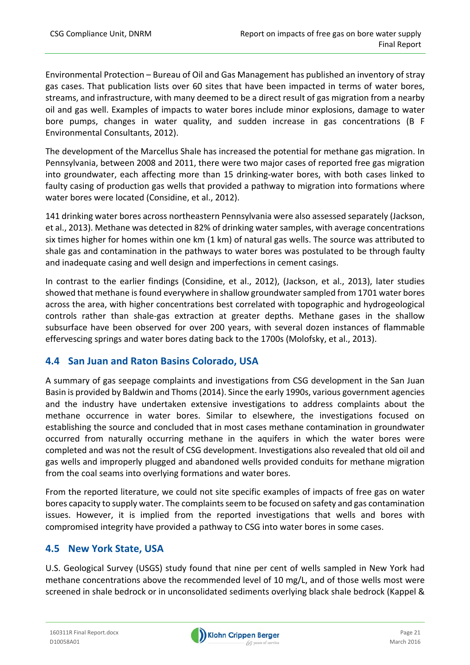Environmental Protection – Bureau of Oil and Gas Management has published an inventory of stray gas cases. That publication lists over 60 sites that have been impacted in terms of water bores, streams, and infrastructure, with many deemed to be a direct result of gas migration from a nearby oil and gas well. Examples of impacts to water bores include minor explosions, damage to water bore pumps, changes in water quality, and sudden increase in gas concentrations (B F Environmental Consultants, 2012).

The development of the Marcellus Shale has increased the potential for methane gas migration. In Pennsylvania, between 2008 and 2011, there were two major cases of reported free gas migration into groundwater, each affecting more than 15 drinking‐water bores, with both cases linked to faulty casing of production gas wells that provided a pathway to migration into formations where water bores were located (Considine, et al., 2012).

141 drinking water bores across northeastern Pennsylvania were also assessed separately (Jackson, et al., 2013). Methane was detected in 82% of drinking watersamples, with average concentrations six times higher for homes within one km (1 km) of natural gas wells. The source was attributed to shale gas and contamination in the pathways to water bores was postulated to be through faulty and inadequate casing and well design and imperfections in cement casings.

In contrast to the earlier findings (Considine, et al., 2012), (Jackson, et al., 2013), later studies showed that methane isfound everywhere in shallow groundwatersampled from 1701 water bores across the area, with higher concentrations best correlated with topographic and hydrogeological controls rather than shale‐gas extraction at greater depths. Methane gases in the shallow subsurface have been observed for over 200 years, with several dozen instances of flammable effervescing springs and water bores dating back to the 1700s (Molofsky, et al., 2013).

## **4.4 San Juan and Raton Basins Colorado, USA**

A summary of gas seepage complaints and investigations from CSG development in the San Juan Basin is provided by Baldwin and Thoms(2014). Since the early 1990s, various government agencies and the industry have undertaken extensive investigations to address complaints about the methane occurrence in water bores. Similar to elsewhere, the investigations focused on establishing the source and concluded that in most cases methane contamination in groundwater occurred from naturally occurring methane in the aquifers in which the water bores were completed and was not the result of CSG development. Investigations also revealed that old oil and gas wells and improperly plugged and abandoned wells provided conduits for methane migration from the coal seams into overlying formations and water bores.

From the reported literature, we could not site specific examples of impacts of free gas on water bores capacity to supply water. The complaints seem to be focused on safety and gas contamination issues. However, it is implied from the reported investigations that wells and bores with compromised integrity have provided a pathway to CSG into water bores in some cases.

## **4.5 New York State, USA**

U.S. Geological Survey (USGS) study found that nine per cent of wells sampled in New York had methane concentrations above the recommended level of 10 mg/L, and of those wells most were screened in shale bedrock or in unconsolidated sediments overlying black shale bedrock (Kappel &

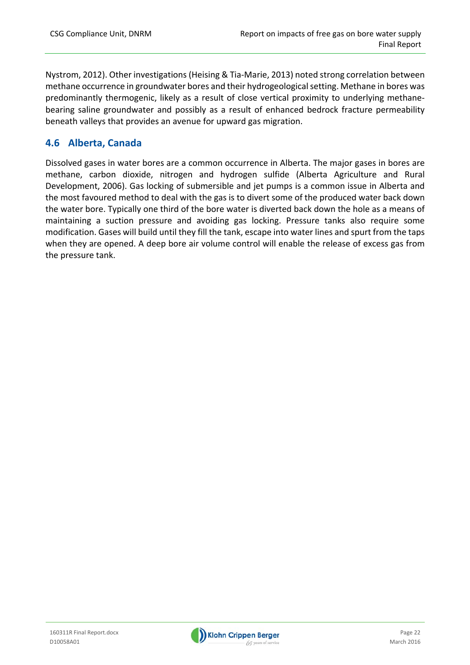Nystrom, 2012). Other investigations (Heising & Tia‐Marie, 2013) noted strong correlation between methane occurrence in groundwater bores and their hydrogeological setting. Methane in bores was predominantly thermogenic, likely as a result of close vertical proximity to underlying methane‐ bearing saline groundwater and possibly as a result of enhanced bedrock fracture permeability beneath valleys that provides an avenue for upward gas migration.

## **4.6 Alberta, Canada**

Dissolved gases in water bores are a common occurrence in Alberta. The major gases in bores are methane, carbon dioxide, nitrogen and hydrogen sulfide (Alberta Agriculture and Rural Development, 2006). Gas locking of submersible and jet pumps is a common issue in Alberta and the most favoured method to deal with the gas is to divert some of the produced water back down the water bore. Typically one third of the bore water is diverted back down the hole as a means of maintaining a suction pressure and avoiding gas locking. Pressure tanks also require some modification. Gases will build until they fill the tank, escape into water lines and spurt from the taps when they are opened. A deep bore air volume control will enable the release of excess gas from the pressure tank.

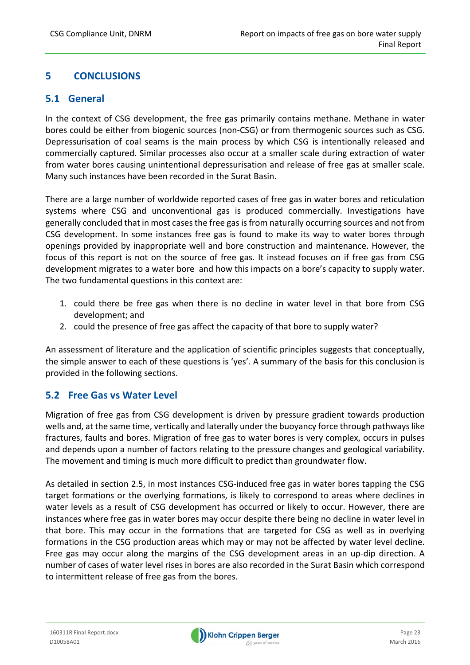## **5 CONCLUSIONS**

## **5.1 General**

In the context of CSG development, the free gas primarily contains methane. Methane in water bores could be either from biogenic sources (non‐CSG) or from thermogenic sources such as CSG. Depressurisation of coal seams is the main process by which CSG is intentionally released and commercially captured. Similar processes also occur at a smaller scale during extraction of water from water bores causing unintentional depressurisation and release of free gas at smaller scale. Many such instances have been recorded in the Surat Basin.

There are a large number of worldwide reported cases of free gas in water bores and reticulation systems where CSG and unconventional gas is produced commercially. Investigations have generally concluded that in most cases the free gas is from naturally occurring sources and not from CSG development. In some instances free gas is found to make its way to water bores through openings provided by inappropriate well and bore construction and maintenance. However, the focus of this report is not on the source of free gas. It instead focuses on if free gas from CSG development migrates to a water bore and how this impacts on a bore's capacity to supply water. The two fundamental questions in this context are:

- 1. could there be free gas when there is no decline in water level in that bore from CSG development; and
- 2. could the presence of free gas affect the capacity of that bore to supply water?

An assessment of literature and the application of scientific principles suggests that conceptually, the simple answer to each of these questions is 'yes'. A summary of the basis for this conclusion is provided in the following sections.

## **5.2 Free Gas vs Water Level**

Migration of free gas from CSG development is driven by pressure gradient towards production wells and, at the same time, vertically and laterally under the buoyancy force through pathwayslike fractures, faults and bores. Migration of free gas to water bores is very complex, occurs in pulses and depends upon a number of factors relating to the pressure changes and geological variability. The movement and timing is much more difficult to predict than groundwater flow.

As detailed in section 2.5, in most instances CSG‐induced free gas in water bores tapping the CSG target formations or the overlying formations, is likely to correspond to areas where declines in water levels as a result of CSG development has occurred or likely to occur. However, there are instances where free gas in water bores may occur despite there being no decline in water level in that bore. This may occur in the formations that are targeted for CSG as well as in overlying formations in the CSG production areas which may or may not be affected by water level decline. Free gas may occur along the margins of the CSG development areas in an up-dip direction. A number of cases of water level rises in bores are also recorded in the Surat Basin which correspond to intermittent release of free gas from the bores.

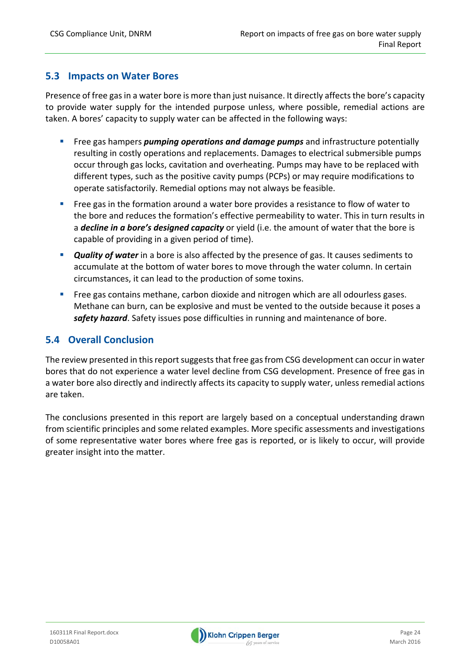#### **5.3 Impacts on Water Bores**

Presence of free gas in a water bore is more than just nuisance. It directly affects the bore's capacity to provide water supply for the intended purpose unless, where possible, remedial actions are taken. A bores' capacity to supply water can be affected in the following ways:

- Free gas hampers *pumping operations and damage pumps* and infrastructure potentially resulting in costly operations and replacements. Damages to electrical submersible pumps occur through gas locks, cavitation and overheating. Pumps may have to be replaced with different types, such as the positive cavity pumps (PCPs) or may require modifications to operate satisfactorily. Remedial options may not always be feasible.
- Free gas in the formation around a water bore provides a resistance to flow of water to the bore and reduces the formation's effective permeability to water. This in turn results in a *decline in a bore's designed capacity* or yield (i.e. the amount of water that the bore is capable of providing in a given period of time).
- **Quality of water** in a bore is also affected by the presence of gas. It causes sediments to accumulate at the bottom of water bores to move through the water column. In certain circumstances, it can lead to the production of some toxins.
- **Free gas contains methane, carbon dioxide and nitrogen which are all odourless gases.** Methane can burn, can be explosive and must be vented to the outside because it poses a *safety hazard*. Safety issues pose difficulties in running and maintenance of bore.

## **5.4 Overall Conclusion**

The review presented in this report suggests that free gas from CSG development can occur in water bores that do not experience a water level decline from CSG development. Presence of free gas in a water bore also directly and indirectly affects its capacity to supply water, unless remedial actions are taken.

The conclusions presented in this report are largely based on a conceptual understanding drawn from scientific principles and some related examples. More specific assessments and investigations of some representative water bores where free gas is reported, or is likely to occur, will provide greater insight into the matter.

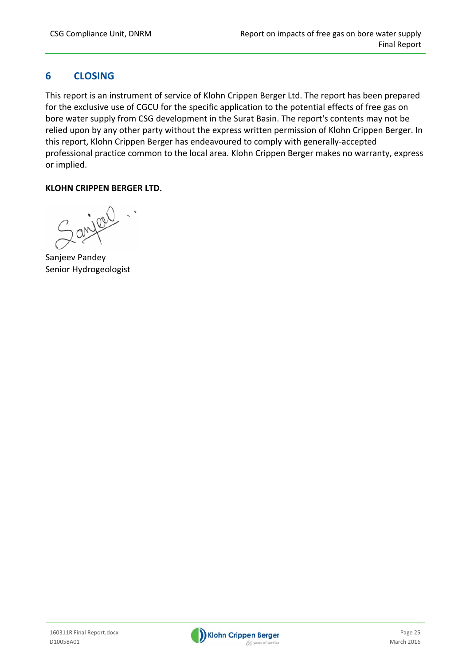## **6 CLOSING**

This report is an instrument of service of Klohn Crippen Berger Ltd. The report has been prepared for the exclusive use of CGCU for the specific application to the potential effects of free gas on bore water supply from CSG development in the Surat Basin. The report's contents may not be relied upon by any other party without the express written permission of Klohn Crippen Berger. In this report, Klohn Crippen Berger has endeavoured to comply with generally‐accepted professional practice common to the local area. Klohn Crippen Berger makes no warranty, express or implied.

#### **KLOHN CRIPPEN BERGER LTD.**

Sanjeev Pandey Senior Hydrogeologist

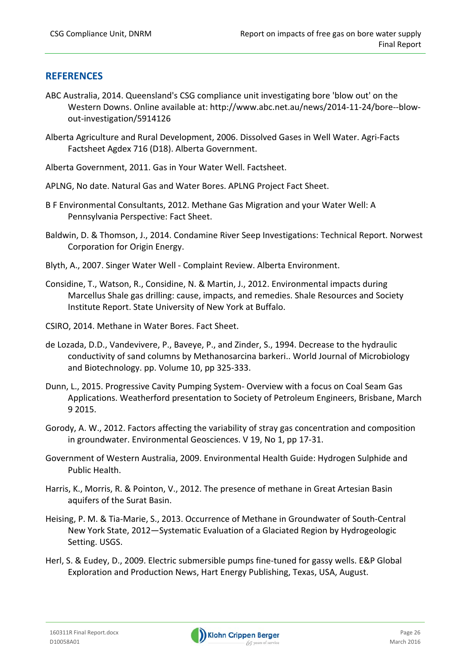#### **REFERENCES**

- ABC Australia, 2014. Queensland's CSG compliance unit investigating bore 'blow out' on the Western Downs. Online available at: http://www.abc.net.au/news/2014-11-24/bore--blowout‐investigation/5914126
- Alberta Agriculture and Rural Development, 2006. Dissolved Gases in Well Water. Agri‐Facts Factsheet Agdex 716 (D18). Alberta Government.
- Alberta Government, 2011. Gas in Your Water Well. Factsheet.
- APLNG, No date. Natural Gas and Water Bores. APLNG Project Fact Sheet.
- B F Environmental Consultants, 2012. Methane Gas Migration and your Water Well: A Pennsylvania Perspective: Fact Sheet.
- Baldwin, D. & Thomson, J., 2014. Condamine River Seep Investigations: Technical Report. Norwest Corporation for Origin Energy.
- Blyth, A., 2007. Singer Water Well ‐ Complaint Review. Alberta Environment.
- Considine, T., Watson, R., Considine, N. & Martin, J., 2012. Environmental impacts during Marcellus Shale gas drilling: cause, impacts, and remedies. Shale Resources and Society Institute Report. State University of New York at Buffalo.
- CSIRO, 2014. Methane in Water Bores. Fact Sheet.
- de Lozada, D.D., Vandevivere, P., Baveye, P., and Zinder, S., 1994. Decrease to the hydraulic conductivity of sand columns by Methanosarcina barkeri.. World Journal of Microbiology and Biotechnology. pp. Volume 10, pp 325‐333.
- Dunn, L., 2015. Progressive Cavity Pumping System‐ Overview with a focus on Coal Seam Gas Applications. Weatherford presentation to Society of Petroleum Engineers, Brisbane, March 9 2015.
- Gorody, A. W., 2012. Factors affecting the variability of stray gas concentration and composition in groundwater. Environmental Geosciences. V 19, No 1, pp 17‐31.
- Government of Western Australia, 2009. Environmental Health Guide: Hydrogen Sulphide and Public Health.
- Harris, K., Morris, R. & Pointon, V., 2012. The presence of methane in Great Artesian Basin aquifers of the Surat Basin.
- Heising, P. M. & Tia‐Marie, S., 2013. Occurrence of Methane in Groundwater of South‐Central New York State, 2012—Systematic Evaluation of a Glaciated Region by Hydrogeologic Setting. USGS.
- Herl, S. & Eudey, D., 2009. Electric submersible pumps fine‐tuned for gassy wells. E&P Global Exploration and Production News, Hart Energy Publishing, Texas, USA, August.